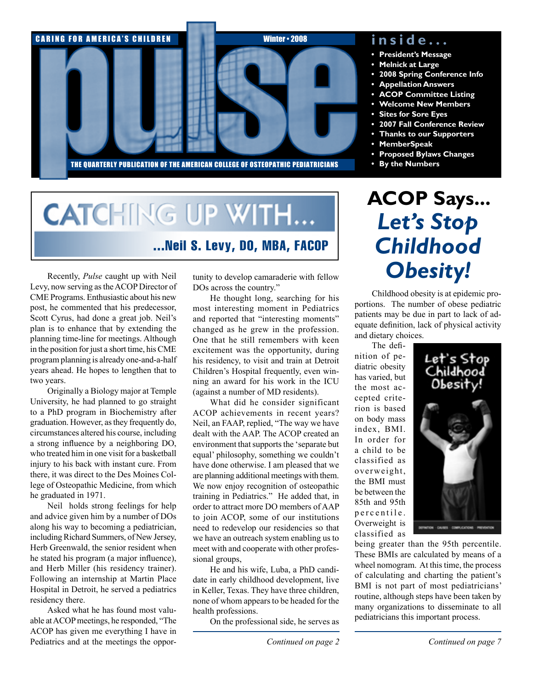

#### **i n s i d e . . .**

- **• President's Message**
- **Melnick at Large**
- **• 2008 Spring Conference Info**
- **Appellation Answers**
- **ACOP** Committee Listing
- **• Welcome New Members**
- **Sites for Sore Eyes**
- **• 2007 Fall Conference Review**
- *K* Thanks to our Supporters
- **• MemberSpeak**
- **• Proposed Bylaws Changes**
- **• By the Numbers**

# **CATCHING UP WITH...** ...Neil S. Levy, DO, MBA, FACOP

Recently, *Pulse* caught up with Neil Levy, now serving as the ACOP Director of CME Programs. Enthusiastic about his new post, he commented that his predecessor, Scott Cyrus, had done a great job. Neil's plan is to enhance that by extending the planning time-line for meetings. Although in the position for just a short time, his CME program planning is already one-and-a-half years ahead. He hopes to lengthen that to two years.

Originally a Biology major at Temple University, he had planned to go straight to a PhD program in Biochemistry after graduation. However, as they frequently do, circumstances altered his course, including a strong influence by a neighboring DO, who treated him in one visit for a basketball injury to his back with instant cure. From there, it was direct to the Des Moines College of Osteopathic Medicine, from which he graduated in 1971.

Neil holds strong feelings for help and advice given him by a number of DOs along his way to becoming a pediatrician, including Richard Summers, of New Jersey, Herb Greenwald, the senior resident when he stated his program (a major influence), and Herb Miller (his residency trainer). Following an internship at Martin Place Hospital in Detroit, he served a pediatrics residency there.

Asked what he has found most valuable at ACOP meetings, he responded, "The ACOP has given me everything I have in Pediatrics and at the meetings the oppor- *Continued on page 2 Continued on page 7*

tunity to develop camaraderie with fellow DOs across the country."

He thought long, searching for his most interesting moment in Pediatrics and reported that "interesting moments" changed as he grew in the profession. One that he still remembers with keen excitement was the opportunity, during his residency, to visit and train at Detroit Children's Hospital frequently, even winning an award for his work in the ICU (against a number of MD residents).

What did he consider significant ACOP achievements in recent years? Neil, an FAAP, replied, "The way we have dealt with the AAP. The ACOP created an environment that supports the 'separate but equal' philosophy, something we couldn't have done otherwise. I am pleased that we are planning additional meetings with them. We now enjoy recognition of osteopathic training in Pediatrics." He added that, in order to attract more DO members of AAP to join ACOP, some of our institutions need to redevelop our residencies so that we have an outreach system enabling us to meet with and cooperate with other professional groups,

He and his wife, Luba, a PhD candidate in early childhood development, live in Keller, Texas. They have three children, none of whom appears to be headed for the health professions.

On the professional side, he serves as

# **ACOP Says...** *Let's Stop Childhood Obesity!*

Childhood obesity is at epidemic proportions. The number of obese pediatric patients may be due in part to lack of adequate definition, lack of physical activity and dietary choices.

The definition of pediatric obesity has varied, but the most accepted criterion is based on body mass index, BMI. In order for a child to be classified as overweight, the BMI must be between the 85th and 95th p er c en tile. Overweight is classified as



being greater than the 95th percentile. These BMIs are calculated by means of a wheel nomogram. At this time, the process of calculating and charting the patient's BMI is not part of most pediatricians' routine, although steps have been taken by many organizations to disseminate to all pediatricians this important process.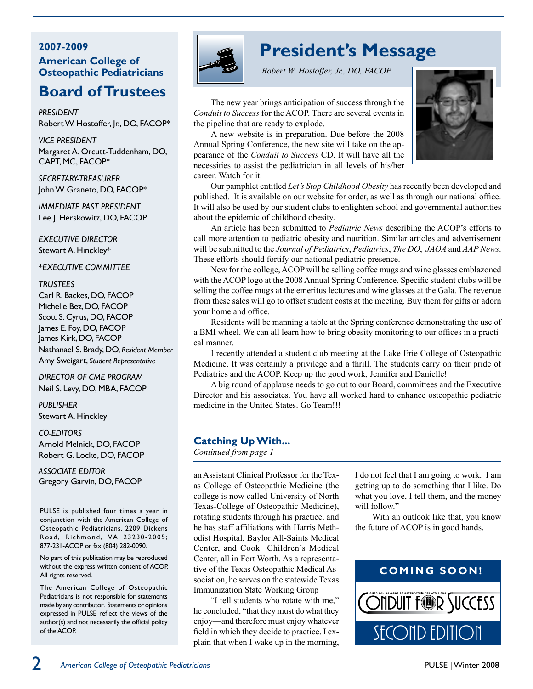#### **2007-2009 American College of Osteopathic Pediatricians**

## **Board ofTrustees**

*President*  Robert W. Hostoffer, Jr., DO, FACOP\*

*Vice President* Margaret A. Orcutt-Tuddenham, DO, CAPT, MC, FACOP\*

*Secretary-Treasurer* John W. Graneto, DO, FACOP\*

*Immediate Past President* Lee J. Herskowitz, DO, FACOP

*Executive Director* Stewart A. Hinckley\*

*\*EXECUTIVE COMMITTEE*

#### *Trustees*

Carl R. Backes, DO, FACOP Michelle Bez, DO, FACOP Scott S. Cyrus, DO, FACOP James E. Foy, DO, FACOP James Kirk, DO, FACOP Nathanael S. Brady, DO, *Resident Member* Amy Sweigart, *Student Representative*

*Director of CME Program* Neil S. Levy, DO, MBA, FACOP

*PUBLISHER* Stewart A. Hinckley

#### *Co-Editors*

Arnold Melnick, DO, FACOP Robert G. Locke, DO, FACOP

*ASSOCIATE EDITOR* Gregory Garvin, DO, FACOP

PULSE is published four times a year in conjunction with the American College of Osteopathic Pediatricians, 2209 Dickens Road, Richmond, VA 23230-2005; 877-231-ACOP or fax (804) 282-0090.

No part of this publication may be reproduced without the express written consent of ACOP. All rights reserved.

The American College of Osteopathic Pediatricians is not responsible for statements made by any contributor. Statements or opinions expressed in PULSE reflect the views of the author(s) and not necessarily the official policy of the ACOP.



## **President's Message**

*Robert W. Hostoffer, Jr., DO, FACOP*

The new year brings anticipation of success through the *Conduit to Success* for the ACOP. There are several events in the pipeline that are ready to explode.

A new website is in preparation. Due before the 2008 Annual Spring Conference, the new site will take on the appearance of the *Conduit to Success* CD. It will have all the necessities to assist the pediatrician in all levels of his/her career. Watch for it.



Our pamphlet entitled *Let's Stop Childhood Obesity* has recently been developed and published. It is available on our website for order, as well as through our national office. It will also be used by our student clubs to enlighten school and governmental authorities about the epidemic of childhood obesity.

An article has been submitted to *Pediatric News* describing the ACOP's efforts to call more attention to pediatric obesity and nutrition. Similar articles and advertisement will be submitted to the *Journal of Pediatrics*, *Pediatrics*, *The DO*, *JAOA* and *AAP News*. These efforts should fortify our national pediatric presence.

New for the college, ACOP will be selling coffee mugs and wine glasses emblazoned with the ACOP logo at the 2008 Annual Spring Conference. Specific student clubs will be selling the coffee mugs at the emeritus lectures and wine glasses at the Gala. The revenue from these sales will go to offset student costs at the meeting. Buy them for gifts or adorn your home and office.

Residents will be manning a table at the Spring conference demonstrating the use of a BMI wheel. We can all learn how to bring obesity monitoring to our offices in a practical manner.

I recently attended a student club meeting at the Lake Erie College of Osteopathic Medicine. It was certainly a privilege and a thrill. The students carry on their pride of Pediatrics and the ACOP. Keep up the good work, Jennifer and Danielle!

A big round of applause needs to go out to our Board, committees and the Executive Director and his associates. You have all worked hard to enhance osteopathic pediatric medicine in the United States. Go Team!!!

#### **Catching UpWith...**

*Continued from page 1*

an Assistant Clinical Professor for the Texas College of Osteopathic Medicine (the college is now called University of North Texas-College of Osteopathic Medicine), rotating students through his practice, and he has staff affiliations with Harris Methodist Hospital, Baylor All-Saints Medical Center, and Cook Children's Medical Center, all in Fort Worth. As a representative of the Texas Osteopathic Medical Association, he serves on the statewide Texas Immunization State Working Group

"I tell students who rotate with me," he concluded, "that they must do what they enjoy—and therefore must enjoy whatever field in which they decide to practice. I explain that when I wake up in the morning,

I do not feel that I am going to work. I am getting up to do something that I like. Do what you love, I tell them, and the money will follow."

With an outlook like that, you know the future of ACOP is in good hands.

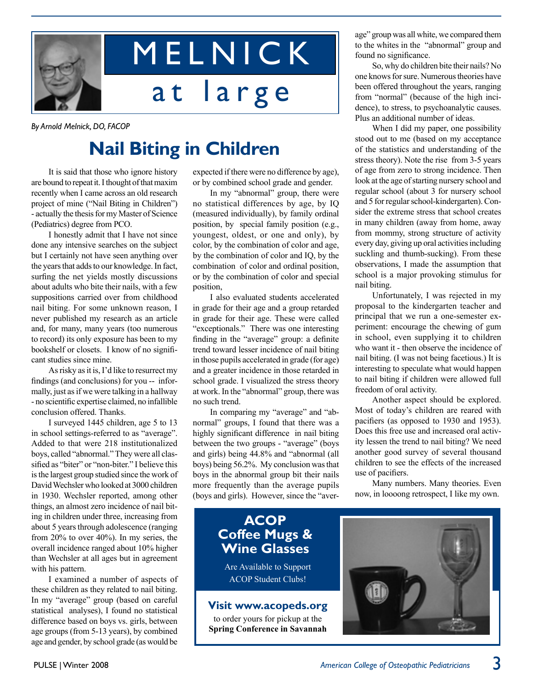

# M E L N I C K at large

*By Arnold Melnick, DO, FACOP*

# **Nail Biting in Children**

It is said that those who ignore history are bound to repeat it. I thought of that maxim recently when I came across an old research project of mine ("Nail Biting in Children") - actually the thesis for my Master of Science (Pediatrics) degree from PCO.

I honestly admit that I have not since done any intensive searches on the subject but I certainly not have seen anything over the years that adds to our knowledge. In fact, surfing the net yields mostly discussions about adults who bite their nails, with a few suppositions carried over from childhood nail biting. For some unknown reason, I never published my research as an article and, for many, many years (too numerous to record) its only exposure has been to my bookshelf or closets. I know of no significant studies since mine.

As risky as it is, I'd like to resurrect my findings (and conclusions) for you -- informally, just as if we were talking in a hallway - no scientific expertise claimed, no infallible conclusion offered. Thanks.

I surveyed 1445 children, age 5 to 13 in school settings-referred to as "average". Added to that were 218 institutionalized boys, called "abnormal." They were all classified as "biter" or "non-biter." I believe this is the largest group studied since the work of David Wechsler who looked at 3000 children in 1930. Wechsler reported, among other things, an almost zero incidence of nail biting in children under three, increasing from about 5 years through adolescence (ranging from 20% to over 40%). In my series, the overall incidence ranged about 10% higher than Wechsler at all ages but in agreement with his pattern.

I examined a number of aspects of these children as they related to nail biting. In my "average" group (based on careful statistical analyses), I found no statistical difference based on boys vs. girls, between age groups (from 5-13 years), by combined age and gender, by school grade (as would be

expected if there were no difference by age), or by combined school grade and gender.

In my "abnormal" group, there were no statistical differences by age, by IQ (measured individually), by family ordinal position, by special family position (e.g., youngest, oldest, or one and only), by color, by the combination of color and age, by the combination of color and IQ, by the combination of color and ordinal position, or by the combination of color and special position,

I also evaluated students accelerated in grade for their age and a group retarded in grade for their age. These were called "exceptionals." There was one interesting finding in the "average" group: a definite trend toward lesser incidence of nail biting in those pupils accelerated in grade (for age) and a greater incidence in those retarded in school grade. I visualized the stress theory at work. In the "abnormal" group, there was no such trend.

In comparing my "average" and "abnormal" groups, I found that there was a highly significant difference in nail biting between the two groups - "average" (boys and girls) being 44.8% and "abnormal (all boys) being 56.2%. My conclusion was that boys in the abnormal group bit their nails more frequently than the average pupils (boys and girls). However, since the "aver-

### **ACOP Coffee Mugs & Wine Glasses**

Are Available to Support ACOP Student Clubs!

#### **Visit www.acopeds.org**

to order yours for pickup at the **Spring Conference in Savannah** age" group was all white, we compared them to the whites in the "abnormal" group and found no significance.

So, why do children bite their nails? No one knows for sure. Numerous theories have been offered throughout the years, ranging from "normal" (because of the high incidence), to stress, to psychoanalytic causes. Plus an additional number of ideas.

When I did my paper, one possibility stood out to me (based on my acceptance of the statistics and understanding of the stress theory). Note the rise from 3-5 years of age from zero to strong incidence. Then look at the age of starting nursery school and regular school (about 3 for nursery school and 5 for regular school-kindergarten). Consider the extreme stress that school creates in many children (away from home, away from mommy, strong structure of activity every day, giving up oral activities including suckling and thumb-sucking). From these observations, I made the assumption that school is a major provoking stimulus for nail biting.

Unfortunately, I was rejected in my proposal to the kindergarten teacher and principal that we run a one-semester experiment: encourage the chewing of gum in school, even supplying it to children who want it - then observe the incidence of nail biting. (I was not being facetious.) It is interesting to speculate what would happen to nail biting if children were allowed full freedom of oral activity.

Another aspect should be explored. Most of today's children are reared with pacifiers (as opposed to 1930 and 1953). Does this free use and increased oral activity lessen the trend to nail biting? We need another good survey of several thousand children to see the effects of the increased use of pacifiers.

Many numbers. Many theories. Even now, in loooong retrospect, I like my own.

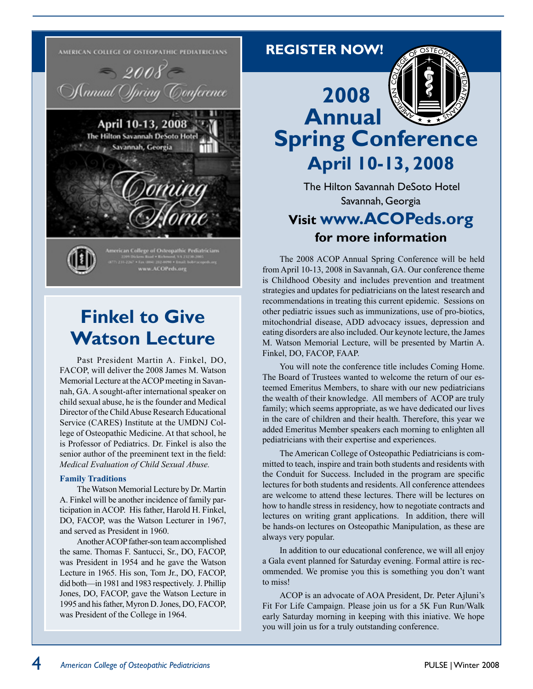

## **Finkel to Give Watson Lecture**

Past President Martin A. Finkel, DO, FACOP, will deliver the 2008 James M. Watson Memorial Lecture at the ACOP meeting in Savannah, GA. A sought-after international speaker on child sexual abuse, he is the founder and Medical Director of the Child Abuse Research Educational Service (CARES) Institute at the UMDNJ College of Osteopathic Medicine. At that school, he is Professor of Pediatrics. Dr. Finkel is also the senior author of the preeminent text in the field: *Medical Evaluation of Child Sexual Abuse.*

#### **Family Traditions**

The Watson Memorial Lecture by Dr. Martin A. Finkel will be another incidence of family participation in ACOP. His father, Harold H. Finkel, DO, FACOP, was the Watson Lecturer in 1967, and served as President in 1960.

Another ACOP father-son team accomplished the same. Thomas F. Santucci, Sr., DO, FACOP, was President in 1954 and he gave the Watson Lecture in 1965. His son, Tom Jr., DO, FACOP, did both—in 1981 and 1983 respectively. J. Phillip Jones, DO, FACOP, gave the Watson Lecture in 1995 and his father, Myron D. Jones, DO, FACOP, was President of the College in 1964.



**REGISTER NOW!**

 The Hilton Savannah DeSoto Hotel Savannah, Georgia

## **Visit www.ACOPeds.org for more information**

The 2008 ACOP Annual Spring Conference will be held from April 10-13, 2008 in Savannah, GA. Our conference theme is Childhood Obesity and includes prevention and treatment strategies and updates for pediatricians on the latest research and recommendations in treating this current epidemic. Sessions on other pediatric issues such as immunizations, use of pro-biotics, mitochondrial disease, ADD advocacy issues, depression and eating disorders are also included. Our keynote lecture, the James M. Watson Memorial Lecture, will be presented by Martin A. Finkel, DO, FACOP, FAAP.

You will note the conference title includes Coming Home. The Board of Trustees wanted to welcome the return of our esteemed Emeritus Members, to share with our new pediatricians the wealth of their knowledge. All members of ACOP are truly family; which seems appropriate, as we have dedicated our lives in the care of children and their health. Therefore, this year we added Emeritus Member speakers each morning to enlighten all pediatricians with their expertise and experiences.

The American College of Osteopathic Pediatricians is committed to teach, inspire and train both students and residents with the Conduit for Success. Included in the program are specific lectures for both students and residents. All conference attendees are welcome to attend these lectures. There will be lectures on how to handle stress in residency, how to negotiate contracts and lectures on writing grant applications. In addition, there will be hands-on lectures on Osteopathic Manipulation, as these are always very popular.

In addition to our educational conference, we will all enjoy a Gala event planned for Saturday evening. Formal attire is recommended. We promise you this is something you don't want to miss!

ACOP is an advocate of AOA President, Dr. Peter Ajluni's Fit For Life Campaign. Please join us for a 5K Fun Run/Walk early Saturday morning in keeping with this iniative. We hope you will join us for a truly outstanding conference.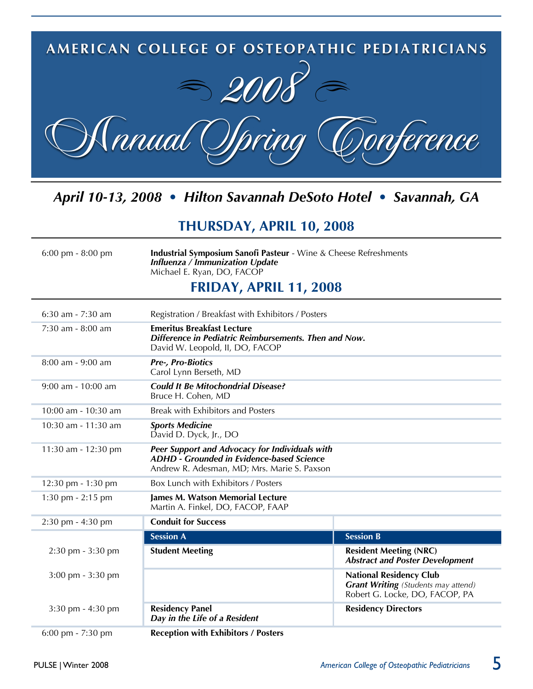

## *April 10-13, 2008 • Hilton Savannah DeSoto Hotel • Savannah, GA*

## **THuRSDAy, APRIL 10, 2008**

6:00 pm - 8:00 pm **Industrial Symposium Sanofi Pasteur** - Wine & Cheese Refreshments *Influenza / Immunization Update* Michael E. Ryan, DO, FACOP

#### **FRIDAy, APRIL 11, 2008**

| $6:30$ am - 7:30 am                 | Registration / Breakfast with Exhibitors / Posters                                                                                                |                                                                                                                |
|-------------------------------------|---------------------------------------------------------------------------------------------------------------------------------------------------|----------------------------------------------------------------------------------------------------------------|
| 7:30 am - 8:00 am                   | <b>Emeritus Breakfast Lecture</b><br>Difference in Pediatric Reimbursements. Then and Now.<br>David W. Leopold, II, DO, FACOP                     |                                                                                                                |
| 8:00 am - 9:00 am                   | <b>Pre-, Pro-Biotics</b><br>Carol Lynn Berseth, MD                                                                                                |                                                                                                                |
| 9:00 am - 10:00 am                  | <b>Could It Be Mitochondrial Disease?</b><br>Bruce H. Cohen, MD                                                                                   |                                                                                                                |
| 10:00 am - 10:30 am                 | Break with Exhibitors and Posters                                                                                                                 |                                                                                                                |
| 10:30 am - 11:30 am                 | <b>Sports Medicine</b><br>David D. Dyck, Jr., DO                                                                                                  |                                                                                                                |
| 11:30 am - 12:30 pm                 | Peer Support and Advocacy for Individuals with<br><b>ADHD - Grounded in Evidence-based Science</b><br>Andrew R. Adesman, MD; Mrs. Marie S. Paxson |                                                                                                                |
| 12:30 pm - 1:30 pm                  | Box Lunch with Exhibitors / Posters                                                                                                               |                                                                                                                |
| 1:30 pm - 2:15 pm                   | James M. Watson Memorial Lecture<br>Martin A. Finkel, DO, FACOP, FAAP                                                                             |                                                                                                                |
| 2:30 pm - 4:30 pm                   | <b>Conduit for Success</b>                                                                                                                        |                                                                                                                |
|                                     | <b>Session A</b>                                                                                                                                  | <b>Session B</b>                                                                                               |
| $2:30 \text{ pm} - 3:30 \text{ pm}$ | <b>Student Meeting</b>                                                                                                                            | <b>Resident Meeting (NRC)</b><br><b>Abstract and Poster Development</b>                                        |
| 3:00 pm - 3:30 pm                   |                                                                                                                                                   | <b>National Residency Club</b><br><b>Grant Writing</b> (Students may attend)<br>Robert G. Locke, DO, FACOP, PA |
| $3:30 \text{ pm} - 4:30 \text{ pm}$ | <b>Residency Panel</b><br>Day in the Life of a Resident                                                                                           | <b>Residency Directors</b>                                                                                     |
| $6:00$ pm - $7:30$ pm               | <b>Reception with Exhibitors / Posters</b>                                                                                                        |                                                                                                                |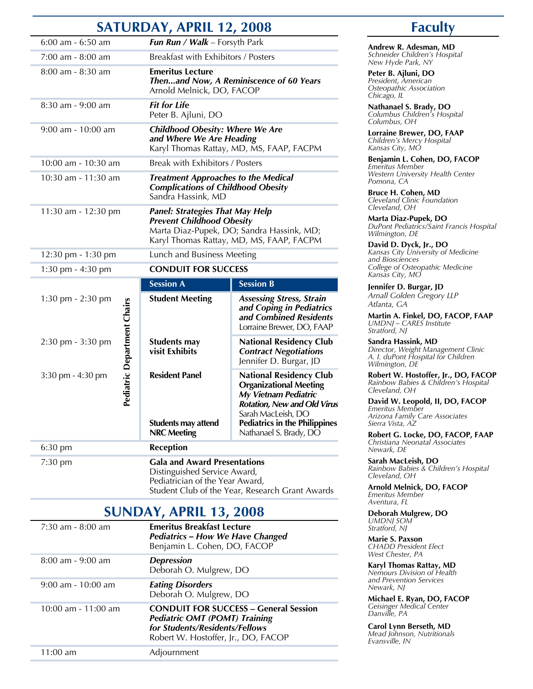## **Saturday, april 12, 2008**

|                       |                             | SATUKDAT, APKIL 12, 2006                                                                                      |                                                                                                                                                     |
|-----------------------|-----------------------------|---------------------------------------------------------------------------------------------------------------|-----------------------------------------------------------------------------------------------------------------------------------------------------|
| $6:00$ am - $6:50$ am |                             | Fun Run / Walk - Forsyth Park                                                                                 |                                                                                                                                                     |
| 7:00 am - 8:00 am     |                             | Breakfast with Exhibitors / Posters                                                                           |                                                                                                                                                     |
| 8:00 am - 8:30 am     |                             | <b>Emeritus Lecture</b><br>Arnold Melnick, DO, FACOP                                                          | Thenand Now, A Reminiscence of 60 Years                                                                                                             |
| 8:30 am - 9:00 am     |                             | <b>Fit for Life</b><br>Peter B. Ajluni, DO                                                                    |                                                                                                                                                     |
| $9:00$ am - 10:00 am  |                             | <b>Childhood Obesity: Where We Are</b><br>and Where We Are Heading                                            | Karyl Thomas Rattay, MD, MS, FAAP, FACPM                                                                                                            |
| 10:00 am - 10:30 am   |                             | Break with Exhibitors / Posters                                                                               |                                                                                                                                                     |
| 10:30 am - 11:30 am   |                             | <b>Treatment Approaches to the Medical</b><br><b>Complications of Childhood Obesity</b><br>Sandra Hassink, MD |                                                                                                                                                     |
| 11:30 am - 12:30 pm   |                             | <b>Panel: Strategies That May Help</b><br><b>Prevent Childhood Obesity</b>                                    | Marta Diaz-Pupek, DO; Sandra Hassink, MD;<br>Karyl Thomas Rattay, MD, MS, FAAP, FACPM                                                               |
| 12:30 pm - 1:30 pm    |                             | Lunch and Business Meeting                                                                                    |                                                                                                                                                     |
| 1:30 pm - 4:30 pm     |                             | <b>CONDUIT FOR SUCCESS</b>                                                                                    |                                                                                                                                                     |
|                       |                             | <b>Session A</b>                                                                                              | <b>Session B</b>                                                                                                                                    |
| 1:30 pm - 2:30 pm     |                             | <b>Student Meeting</b>                                                                                        | <b>Assessing Stress, Strain</b><br>and Coping in Pediatrics<br>and Combined Residents<br>Lorraine Brewer, DO, FAAP                                  |
| 2:30 pm - 3:30 pm     |                             | Students may<br>visit Exhibits                                                                                | <b>National Residency Club</b><br><b>Contract Negotiations</b><br>Jennifer D. Burgar, JD                                                            |
| 3:30 pm - 4:30 pm     | Pediatric Department Chairs | <b>Resident Panel</b>                                                                                         | <b>National Residency Club</b><br><b>Organizational Meeting</b><br>My Vietnam Pediatric<br><b>Rotation, New and Old Virus</b><br>Sarah MacLeish, DO |
|                       |                             | <b>Students may attend</b><br><b>NRC Meeting</b>                                                              | <b>Pediatrics in the Philippines</b><br>Nathanael S. Brady, DO                                                                                      |
| 6:30 pm               |                             | <b>Reception</b>                                                                                              |                                                                                                                                                     |
| $7:30$ pm             |                             | <b>Gala and Award Presentations</b><br>Distinguished Service Award,<br>Pediatrician of the Year Award,        |                                                                                                                                                     |

**Sunday, april 13, 2008**

Student Club of the Year, Research Grant Awards

| $7:30$ am - $8:00$ am   | <b>Emeritus Breakfast Lecture</b><br><b>Pediatrics - How We Have Changed</b><br>Benjamin L. Cohen, DO, FACOP                                                  | <b>UMDNJ SOM</b><br>Stratford, NJ<br><b>Marie S. Paxson</b><br><b>CHADD President Elect</b>                        |
|-------------------------|---------------------------------------------------------------------------------------------------------------------------------------------------------------|--------------------------------------------------------------------------------------------------------------------|
| $8:00$ am - 9:00 am     | <b>Depression</b><br>Deborah O. Mulgrew, DO                                                                                                                   | West Chester, PA<br>Karyl Thomas Rattay, MD<br>Nemours Division of Health                                          |
| $9:00$ am - 10:00 am    | <b>Eating Disorders</b><br>Deborah O. Mulgrew, DO                                                                                                             | and Prevention Services<br>Newark, NJ<br>Michael E. Ryan, DO, FACOP                                                |
| $10:00$ am - $11:00$ am | <b>CONDUIT FOR SUCCESS - General Session</b><br><b>Pediatric OMT (POMT) Training</b><br>for Students/Residents/Fellows<br>Robert W. Hostoffer, Jr., DO, FACOP | Geisinger Medical Center<br>Danville, PA<br>Carol Lynn Berseth, MD<br>Mead Johnson, Nutritionals<br>Evansville, IN |
| $11:00$ am              | Adjournment                                                                                                                                                   |                                                                                                                    |

## **faculty**

**andrew r. adesman, Md** *Schneider Children's Hospital New Hyde Park, NY*

**Peter B. Ajluni, DO** *President, American Osteopathic Association Chicago, IL*

**Nathanael S. Brady, DO** *Columbus Children's Hospital Columbus, OH*

**Lorraine Brewer, DO, FAAP** *Children's Mercy Hospital Kansas City, MO*

**Benjamin L. Cohen, DO, FACOP** *Emeritus Member Western University Health Center Pomona, CA*

**Bruce H. Cohen, MD** *Cleveland Clinic Foundation Cleveland, OH*

**Marta diaz-pupek, do** *DuPont Pediatrics/Saint Francis Hospital Wilmington, DE*

**david d. dyck, Jr., do** *Kansas City University of Medicine and Biosciences College of Osteopathic Medicine Kansas City, MO*

**Jennifer D. Burgar, JD** *Arnall Golden Gregory LLP Atlanta, GA*

**Martin a. finkel, do, faCop, faap** *UMDNJ – CARES Institute Stratford, NJ*

**Sandra Hassink, MD** *Director, Weight Management Clinic A. I. duPont Hospital for Children Wilmington, DE*

**Robert W. Hostoffer, Jr., DO, FACOP** *Rainbow Babies & Children's Hospital Cleveland, OH*

**david W. leopold, ii, do, faCop** *Emeritus Member Arizona Family Care Associates Sierra Vista, AZ*

**robert G. locke, do, faCop, faap** *Christiana Neonatal Associates Newark, DE*

**Sarah MacLeish, DO** *Rainbow Babies & Children's Hospital Cleveland, OH*

**Arnold Melnick, DO, FACOP** *Emeritus Member Aventura, FL*

**Deborah Mulgrew, DO** *UMDNJ SOM Stratford, NJ*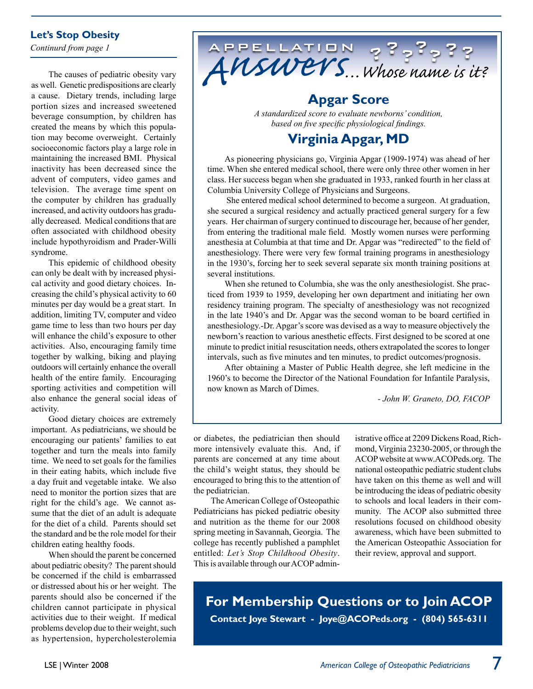#### **Let's Stop Obesity**

*Continurd from page 1*

The causes of pediatric obesity vary as well. Genetic predispositions are clearly a cause. Dietary trends, including large portion sizes and increased sweetened beverage consumption, by children has created the means by which this population may become overweight. Certainly socioeconomic factors play a large role in maintaining the increased BMI. Physical inactivity has been decreased since the advent of computers, video games and television. The average time spent on the computer by children has gradually increased, and activity outdoors has gradually decreased. Medical conditions that are often associated with childhood obesity include hypothyroidism and Prader-Willi syndrome.

This epidemic of childhood obesity can only be dealt with by increased physical activity and good dietary choices. Increasing the child's physical activity to 60 minutes per day would be a great start. In addition, limiting TV, computer and video game time to less than two hours per day will enhance the child's exposure to other activities. Also, encouraging family time together by walking, biking and playing outdoors will certainly enhance the overall health of the entire family. Encouraging sporting activities and competition will also enhance the general social ideas of activity.

Good dietary choices are extremely important. As pediatricians, we should be encouraging our patients' families to eat together and turn the meals into family time. We need to set goals for the families in their eating habits, which include five a day fruit and vegetable intake. We also need to monitor the portion sizes that are right for the child's age. We cannot assume that the diet of an adult is adequate for the diet of a child. Parents should set the standard and be the role model for their children eating healthy foods.

When should the parent be concerned about pediatric obesity? The parent should be concerned if the child is embarrassed or distressed about his or her weight. The parents should also be concerned if the children cannot participate in physical activities due to their weight. If medical problems develop due to their weight, such as hypertension, hypercholesterolemia



## **Apgar Score**

*A standardized score to evaluate newborns' condition, based on five specific physiological findings.*

## **Virginia Apgar, MD**

As pioneering physicians go, Virginia Apgar (1909-1974) was ahead of her time. When she entered medical school, there were only three other women in her class. Her success began when she graduated in 1933, ranked fourth in her class at Columbia University College of Physicians and Surgeons.

 She entered medical school determined to become a surgeon. At graduation, she secured a surgical residency and actually practiced general surgery for a few years. Her chairman of surgery continued to discourage her, because of her gender, from entering the traditional male field. Mostly women nurses were performing anesthesia at Columbia at that time and Dr. Apgar was "redirected" to the field of anesthesiology. There were very few formal training programs in anesthesiology in the 1930's, forcing her to seek several separate six month training positions at several institutions.

When she retuned to Columbia, she was the only anesthesiologist. She practiced from 1939 to 1959, developing her own department and initiating her own residency training program. The specialty of anesthesiology was not recognized in the late 1940's and Dr. Apgar was the second woman to be board certified in anesthesiology.-Dr. Apgar's score was devised as a way to measure objectively the newborn's reaction to various anesthetic effects. First designed to be scored at one minute to predict initial resuscitation needs, others extrapolated the scores to longer intervals, such as five minutes and ten minutes, to predict outcomes/prognosis.

After obtaining a Master of Public Health degree, she left medicine in the 1960's to become the Director of the National Foundation for Infantile Paralysis, now known as March of Dimes.

*- John W. Graneto, DO, FACOP*

or diabetes, the pediatrician then should more intensively evaluate this. And, if parents are concerned at any time about the child's weight status, they should be encouraged to bring this to the attention of the pediatrician.

The American College of Osteopathic Pediatricians has picked pediatric obesity and nutrition as the theme for our 2008 spring meeting in Savannah, Georgia. The college has recently published a pamphlet entitled: *Let's Stop Childhood Obesity*. This is available through our ACOP administrative office at 2209 Dickens Road, Richmond, Virginia 23230-2005, or through the ACOP website at www.ACOPeds.org. The national osteopathic pediatric student clubs have taken on this theme as well and will be introducing the ideas of pediatric obesity to schools and local leaders in their community. The ACOP also submitted three resolutions focused on childhood obesity awareness, which have been submitted to the American Osteopathic Association for their review, approval and support.

**For Membership Questions or to Join ACOP Contact Joye Stewart - Joye@ACOPeds.org - (804) 565-6311**

7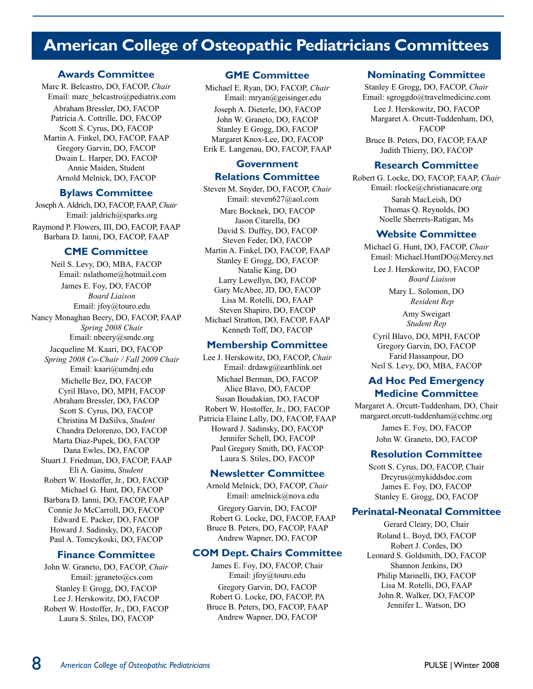## **American College of Osteopathic Pediatricians Committees**

#### **Awards Committee**

Marc R. Belcastro, DO, FACOP, *Chair* Email: marc\_belcastro@pediatrix.com Abraham Bressler, DO, FACOP Patricia A. Cottrille, DO, FACOP Scott S. Cyrus, DO, FACOP Martin A. Finkel, DO, FACOP, FAAP Gregory Garvin, DO, FACOP Dwain L. Harper, DO, FACOP Annie Maiden, Student Arnold Melnick, DO, FACOP

#### **Bylaws Committee**

Joseph A. Aldrich, DO, FACOP, FAAP, *Chair* Email: jaldrich@sparks.org Raymond P. Flowers, III, DO, FACOP, FAAP Barbara D. Ianni, DO, FACOP, FAAP

#### **CME Committee**

Neil S. Levy, DO, MBA, FACOP Email: nslathome@hotmail.com James E. Foy, DO, FACOP *Board Liaison* Email: jfoy@touro.edu Nancy Monaghan Beery, DO, FACOP, FAAP *Spring 2008 Chair* Email: nbeery@smdc.org Jacqueline M. Kaari, DO, FACOP *Spring 2008 Co-Chair / Fall 2009 Chair* Email: kaari@umdnj.edu Michelle Bez, DO, FACOP Cyril Blavo, DO, MPH, FACOP Abraham Bressler, DO, FACOP Scott S. Cyrus, DO, FACOP Christina M DaSilva, *Student* Chandra Delorenzo, DO, FACOP Marta Diaz-Pupek, DO, FACOP Dana Ewles, DO, FACOP Stuart J. Friedman, DO, FACOP, FAAP Eli A. Gasinu, *Student* Robert W. Hostoffer, Jr., DO, FACOP Michael G. Hunt, DO, FACOP Barbara D. Ianni, DO, FACOP, FAAP Connie Jo McCarroll, DO, FACOP Edward E. Packer, DO, FACOP Howard J. Sadinsky, DO, FACOP Paul A. Tomcykoski, DO, FACOP

#### **Finance Committee**

John W. Graneto, DO, FACOP, *Chair* Email: jgraneto@cs.com Stanley E Grogg, DO, FACOP Lee J. Herskowitz, DO, FACOP Robert W. Hostoffer, Jr., DO, FACOP Laura S. Stiles, DO, FACOP

#### **GME Committee**

Michael E. Ryan, DO, FACOP, *Chair* Email: mryan@geisinger.edu Joseph A. Dieterle, DO, FACOP John W. Graneto, DO, FACOP Stanley E Grogg, DO, FACOP Margaret Knox-Lee, DO, FACOP Erik E. Langenau, DO, FACOP, FAAP

#### **Government Relations Committee**

Steven M. Snyder, DO, FACOP, *Chair* Email: steven627@aol.com Marc Bocknek, DO, FACOP Jason Citarella, DO David S. Duffey, DO, FACOP Steven Feder, DO, FACOP Martin A. Finkel, DO, FACOP, FAAP Stanley E Grogg, DO, FACOP Natalie King, DO Larry Lewellyn, DO, FACOP Gary McAbee, JD, DO, FACOP Lisa M. Rotelli, DO, FAAP Steven Shapiro, DO, FACOP Michael Stratton, DO, FACOP, FAAP Kenneth Toff, DO, FACOP

#### **Membership Committee**

Lee J. Herskowitz, DO, FACOP, *Chair* Email: drdawg@earthlink.net Michael Berman, DO, FACOP Alice Blavo, DO, FACOP Susan Boudakian, DO, FACOP Robert W. Hostoffer, Jr., DO, FACOP Patricia Elaine Lally, DO, FACOP, FAAP Howard J. Sadinsky, DO, FACOP Jennifer Schell, DO, FACOP Paul Gregory Smith, DO, FACOP Laura S. Stiles, DO, FACOP

#### **Newsletter Committee**

Arnold Melnick, DO, FACOP, *Chair* Email: amelnick@nova.edu Gregory Garvin, DO, FACOP Robert G. Locke, DO, FACOP, FAAP Bruce B. Peters, DO, FACOP, FAAP Andrew Wapner, DO, FACOP

#### **COM Dept. Chairs Committee**

James E. Foy, DO, FACOP, Chair Email: jfoy@touro.edu Gregory Garvin, DO, FACOP Robert G. Locke, DO, FACOP, PA Bruce B. Peters, DO, FACOP, FAAP Andrew Wapner, DO, FACOP

#### **Nominating Committee**

Stanley E Grogg, DO, FACOP, *Chair* Email: sgroggdo@travelmedicine.com

Lee J. Herskowitz, DO, FACOP Margaret A. Orcutt-Tuddenham, DO, FACOP

Bruce B. Peters, DO, FACOP, FAAP Judith Thierry, DO, FACOP

#### **Research Committee**

Robert G. Locke, DO, FACOP, FAAP, *Chair* Email: rlocke@christianacare.org Sarah MacLeish, DO Thomas Q. Reynolds, DO Noelle Sherrets-Ratigan, Ms

#### **Website Committee**

Michael G. Hunt, DO, FACOP, *Chair* Email: Michael.HuntDO@Mercy.net

Lee J. Herskowitz, DO, FACOP *Board Liaison*

> Mary L. Solomon, DO *Resident Rep*

Amy Sweigart *Student Rep*

Cyril Blavo, DO, MPH, FACOP Gregory Garvin, DO, FACOP Farid Hassanpour, DO Neil S. Levy, DO, MBA, FACOP

#### **Ad Hoc Ped Emergency Medicine Committee**

Margaret A. Orcutt-Tuddenham, DO, Chair margaret.orcutt-tuddenham@cchmc.org James E. Foy, DO, FACOP John W. Graneto, DO, FACOP

#### **Resolution Committee**

Scott S. Cyrus, DO, FACOP, Chair Drcyrus@mykiddsdoc.com James E. Foy, DO, FACOP Stanley E. Grogg, DO, FACOP

#### **Perinatal-Neonatal Committee**

Gerard Cleary, DO, Chair Roland L. Boyd, DO, FACOP Robert J. Cordes, DO Leonard S. Goldsmith, DO, FACOP Shannon Jenkins, DO Philip Marinelli, DO, FACOP Lisa M. Rotelli, DO, FAAP John R. Walker, DO, FACOP Jennifer L. Watson, DO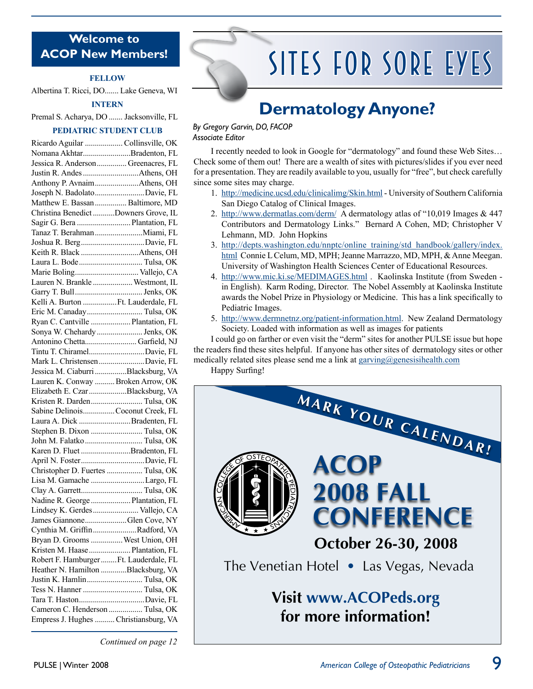#### **Welcome to ACOP New Members!**

#### **Fellow**

Albertina T. Ricci, DO....... Lake Geneva, WI

#### **Intern**

Premal S. Acharya, DO ....... Jacksonville, FL

#### **Pediatric Student Club**

| Ricardo Aguilar  Collinsville, OK                                        |  |
|--------------------------------------------------------------------------|--|
| Nomana AkhtarBradenton, FL                                               |  |
| Jessica R. Anderson Greenacres, FL                                       |  |
|                                                                          |  |
|                                                                          |  |
| Joseph N. BadolatoDavie, FL                                              |  |
| Matthew E. Bassan  Baltimore, MD                                         |  |
| Christina Benedict Downers Grove, IL                                     |  |
| Sagir G. Bera  Plantation, FL                                            |  |
| Tanaz T. Berahman  Miami, FL                                             |  |
| Joshua R. BergDavie, FL                                                  |  |
|                                                                          |  |
| Laura L. Bode Tulsa, OK                                                  |  |
| Marie Boling Vallejo, CA                                                 |  |
| Lauren N. Brankle  Westmont, IL                                          |  |
|                                                                          |  |
| Kelli A. Burton Ft. Lauderdale, FL                                       |  |
| Eric M. Canaday Tulsa, OK                                                |  |
| Ryan C. Cantville  Plantation, FL                                        |  |
| Sonya W. Chehardy  Jenks, OK                                             |  |
| Antonino Chetta Garfield, NJ                                             |  |
| Tintu T. ChiramelDavie, FL                                               |  |
| Mark L. ChristensenDavie, FL                                             |  |
| Jessica M. Ciaburri Blacksburg, VA                                       |  |
| Lauren K. Conway  Broken Arrow, OK                                       |  |
|                                                                          |  |
| Elizabeth E. CzarBlacksburg, VA                                          |  |
| Kristen R. Darden Tulsa, OK                                              |  |
| Sabine DelinoisCoconut Creek, FL                                         |  |
| Laura A. Dick Bradenten, FL                                              |  |
| Stephen B. Dixon  Tulsa, OK                                              |  |
| John M. Falatko  Tulsa, OK                                               |  |
| Karen D. Fluet Bradenton, FL                                             |  |
| April N. FosterDavie, FL                                                 |  |
| Christopher D. Fuertes  Tulsa, OK                                        |  |
| Lisa M. Gamache Largo, FL                                                |  |
|                                                                          |  |
| Nadine R. George  Plantation, FL                                         |  |
| Lindsey K. Gerdes  Vallejo, CA                                           |  |
| James GiannoneGlen Cove, NY                                              |  |
| Cynthia M. Griffin Radford, VA                                           |  |
| Bryan D. Grooms  West Union, OH                                          |  |
| Kristen M. Haase  Plantation, FL                                         |  |
| Robert F. Hamburger  Ft. Lauderdale, FL                                  |  |
| Heather N. Hamilton Blacksburg, VA                                       |  |
| Justin K. Hamlin Tulsa, OK                                               |  |
| Tess N. Hanner  Tulsa, OK                                                |  |
| Tara T. HastonDavie, FL                                                  |  |
| Cameron C. Henderson  Tulsa, OK<br>Empress J. Hughes  Christiansburg, VA |  |

*Continued on page 12*

# Sites for Sore Eyes

# **Dermatology Anyone?**

#### *By Gregory Garvin, DO, FACOP Associate Editor*

I recently needed to look in Google for "dermatology" and found these Web Sites… Check some of them out! There are a wealth of sites with pictures/slides if you ever need for a presentation. They are readily available to you, usually for "free", but check carefully since some sites may charge.

- 1. http://medicine.ucsd.edu/clinicalimg/Skin.html University of Southern California San Diego Catalog of Clinical Images.
- 2. http://www.dermatlas.com/derm/ A dermatology atlas of "10,019 Images & 447 Contributors and Dermatology Links." Bernard A Cohen, MD; Christopher V Lehmann, MD. John Hopkins
- 3. http://depts.washington.edu/nnptc/online\_training/std\_handbook/gallery/index. html Connie L Celum, MD, MPH; Jeanne Marrazzo, MD, MPH, & Anne Meegan. University of Washington Health Sciences Center of Educational Resources.
- 4. http://www.mic.ki.se/MEDIMAGES.html . Kaolinska Institute (from Sweden in English). Karm Roding, Director. The Nobel Assembly at Kaolinska Institute awards the Nobel Prize in Physiology or Medicine. This has a link specifically to Pediatric Images.
- 5. http://www.dermnetnz.org/patient-information.html. New Zealand Dermatology Society. Loaded with information as well as images for patients

I could go on farther or even visit the "derm" sites for another PULSE issue but hope the readers find these sites helpful. If anyone has other sites of dermatology sites or other medically related sites please send me a link at garving@genesisihealth.com

Happy Surfing!

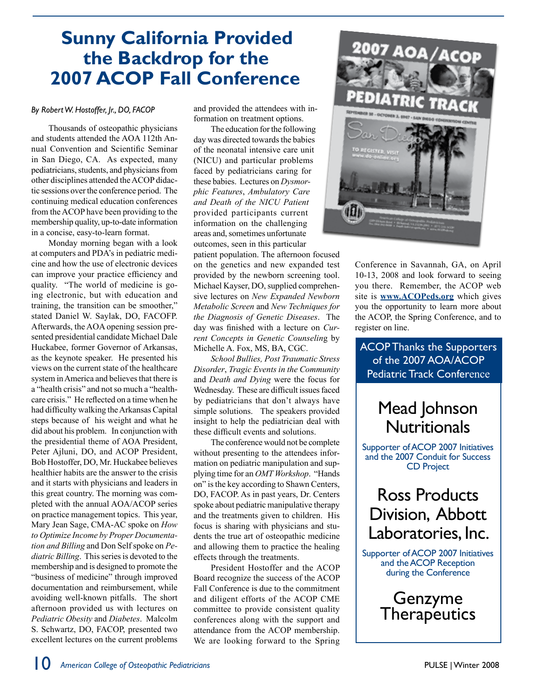## **Sunny California Provided the Backdrop for the 2007 ACOP Fall Conference**

#### *By Robert W. Hostoffer, Jr., DO, FACOP*

Thousands of osteopathic physicians and students attended the AOA 112th Annual Convention and Scientific Seminar in San Diego, CA. As expected, many pediatricians, students, and physicians from other disciplines attended the ACOP didactic sessions over the conference period. The continuing medical education conferences from the ACOP have been providing to the membership quality, up-to-date information in a concise, easy-to-learn format.

Monday morning began with a look at computers and PDA's in pediatric medicine and how the use of electronic devices can improve your practice efficiency and quality. "The world of medicine is going electronic, but with education and training, the transition can be smoother," stated Daniel W. Saylak, DO, FACOFP. Afterwards, the AOA opening session presented presidential candidate Michael Dale Huckabee, former Governor of Arkansas, as the keynote speaker. He presented his views on the current state of the healthcare system in America and believes that there is a "health crisis" and not so much a "healthcare crisis." He reflected on a time when he had difficulty walking the Arkansas Capital steps because of his weight and what he did about his problem. In conjunction with the presidential theme of AOA President, Peter Ajluni, DO, and ACOP President, Bob Hostoffer, DO, Mr. Huckabee believes healthier habits are the answer to the crisis and it starts with physicians and leaders in this great country. The morning was completed with the annual AOA/ACOP series on practice management topics. This year, Mary Jean Sage, CMA-AC spoke on *How to Optimize Income by Proper Documentation and Billing* and Don Self spoke on *Pediatric Billing*. This series is devoted to the membership and is designed to promote the "business of medicine" through improved documentation and reimbursement, while avoiding well-known pitfalls. The short afternoon provided us with lectures on *Pediatric Obesity* and *Diabetes*. Malcolm S. Schwartz, DO, FACOP, presented two excellent lectures on the current problems and provided the attendees with information on treatment options.

The education for the following day was directed towards the babies of the neonatal intensive care unit (NICU) and particular problems faced by pediatricians caring for these babies. Lectures on *Dysmorphic Features*, *Ambulatory Care and Death of the NICU Patient* provided participants current information on the challenging areas and, sometimes unfortunate outcomes, seen in this particular

patient population. The afternoon focused on the genetics and new expanded test provided by the newborn screening tool. Michael Kayser, DO, supplied comprehensive lectures on *New Expanded Newborn Metabolic Screen* and *New Techniques for the Diagnosis of Genetic Diseases*. The day was finished with a lecture on *Current Concepts in Genetic Counselin*g by Michelle A. Fox, MS, BA, CGC.

*School Bullies, Post Traumatic Stress Disorder*, *Tragic Events in the Community* and *Death and Dying* were the focus for Wednesday. These are difficult issues faced by pediatricians that don't always have simple solutions. The speakers provided insight to help the pediatrician deal with these difficult events and solutions.

The conference would not be complete without presenting to the attendees information on pediatric manipulation and supplying time for an *OMT Workshop*. "Hands on" is the key according to Shawn Centers, DO, FACOP. As in past years, Dr. Centers spoke about pediatric manipulative therapy and the treatments given to children. His focus is sharing with physicians and students the true art of osteopathic medicine and allowing them to practice the healing effects through the treatments.

President Hostoffer and the ACOP Board recognize the success of the ACOP Fall Conference is due to the commitment and diligent efforts of the ACOP CME committee to provide consistent quality conferences along with the support and attendance from the ACOP membership. We are looking forward to the Spring



Conference in Savannah, GA, on April 10-13, 2008 and look forward to seeing you there. Remember, the ACOP web site is **www.ACOPeds.org** which gives you the opportunity to learn more about the ACOP, the Spring Conference, and to register on line.

ACOP Thanks the Supporters of the 2007 AOA/ACOP Pediatric Track Conference

## Mead Johnson **Nutritionals**

Supporter of ACOP 2007 Initiatives and the 2007 Conduit for Success CD Project

## Ross Products Division, Abbott Laboratories, Inc.

Supporter of ACOP 2007 Initiatives and the ACOP Reception during the Conference

> Genzyme **Therapeutics**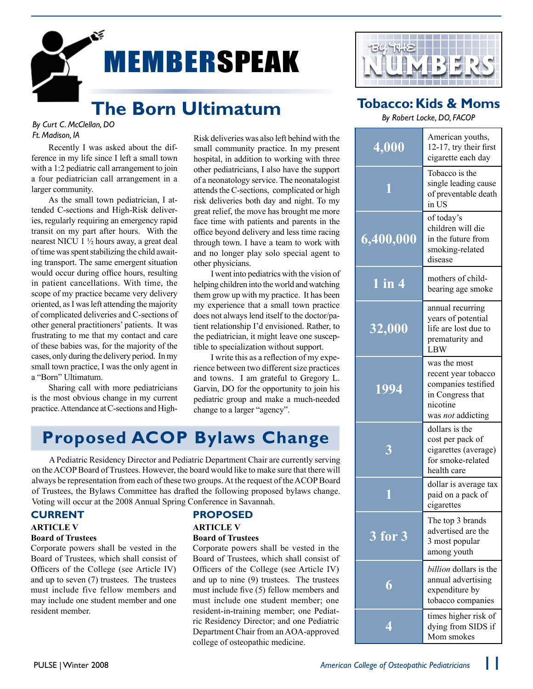

## **The Born Ultimatum**

#### *By Curt C. McClellan, DO Ft. Madison, IA*

Recently I was asked about the difference in my life since I left a small town with a 1:2 pediatric call arrangement to join a four pediatrician call arrangement in a larger community.

As the small town pediatrician, I attended C-sections and High-Risk deliveries, regularly requiring an emergency rapid transit on my part after hours. With the nearest NICU 1 ½ hours away, a great deal of time was spent stabilizing the child awaiting transport. The same emergent situation would occur during office hours, resulting in patient cancellations. With time, the scope of my practice became very delivery oriented, as I was left attending the majority of complicated deliveries and C-sections of other general practitioners' patients. It was frustrating to me that my contact and care of these babies was, for the majority of the cases, only during the delivery period. In my small town practice, I was the only agent in a "Born" Ultimatum.

Sharing call with more pediatricians is the most obvious change in my current practice. Attendance at C-sections and HighRisk deliveries was also left behind with the small community practice. In my present hospital, in addition to working with three other pediatricians, I also have the support of a neonatology service. The neonatalogist attends the C-sections, complicated or high risk deliveries both day and night. To my great relief, the move has brought me more face time with patients and parents in the office beyond delivery and less time racing through town. I have a team to work with and no longer play solo special agent to other physicians.

I went into pediatrics with the vision of helping children into the world and watching them grow up with my practice. It has been my experience that a small town practice does not always lend itself to the doctor/patient relationship I'd envisioned. Rather, to the pediatrician, it might leave one susceptible to specialization without support.

I write this as a reflection of my experience between two different size practices and towns. I am grateful to Gregory L. Garvin, DO for the opportunity to join his pediatric group and make a much-needed change to a larger "agency".

## **Proposed ACOP Bylaws Change**

A Pediatric Residency Director and Pediatric Department Chair are currently serving on the ACOP Board of Trustees. However, the board would like to make sure that there will always be representation from each of these two groups. At the request of the ACOP Board of Trustees, the Bylaws Committee has drafted the following proposed bylaws change. Voting will occur at the 2008 Annual Spring Conference in Savannah.

#### **Current**

#### **ARTICLE V**

#### **Board of Trustees**

Corporate powers shall be vested in the Board of Trustees, which shall consist of Officers of the College (see Article IV) and up to seven (7) trustees. The trustees must include five fellow members and may include one student member and one resident member.

**Proposed**

#### **ARTICLE V**

#### **Board of Trustees**

Corporate powers shall be vested in the Board of Trustees, which shall consist of Officers of the College (see Article IV) and up to nine (9) trustees. The trustees must include five (5) fellow members and must include one student member; one resident-in-training member; one Pediatric Residency Director; and one Pediatric Department Chair from an AOA-approved college of osteopathic medicine.



### **Tobacco: Kids & Moms**

*By Robert Locke, DO, FACOP*

| 4,000          | American youths,<br>12-17, try their first<br>cigarette each day                                                |
|----------------|-----------------------------------------------------------------------------------------------------------------|
| 11             | Tobacco is the<br>single leading cause<br>of preventable death<br>in US                                         |
| 6,400,000      | of today's<br>children will die<br>in the future from<br>smoking-related<br>disease                             |
| $1$ in $4$     | mothers of child-<br>bearing age smoke                                                                          |
| 32,000         | annual recurring<br>years of potential<br>life are lost due to<br>prematurity and<br>LBW                        |
| 1994           | was the most<br>recent year tobacco<br>companies testified<br>in Congress that<br>nicotine<br>was not addicting |
| 3              | dollars is the<br>cost per pack of<br>cigarettes (average)<br>for smoke-related<br>health care                  |
|                | dollar is average tax<br>paid on a pack of<br>cigarettes                                                        |
| <b>3 for 3</b> | The top 3 brands<br>advertised are the<br>3 most popular<br>among youth                                         |
| 6              | <i>billion</i> dollars is the<br>annual advertising<br>expenditure by<br>tobacco companies                      |
| 4              | times higher risk of<br>dying from SIDS if<br>Mom smokes                                                        |